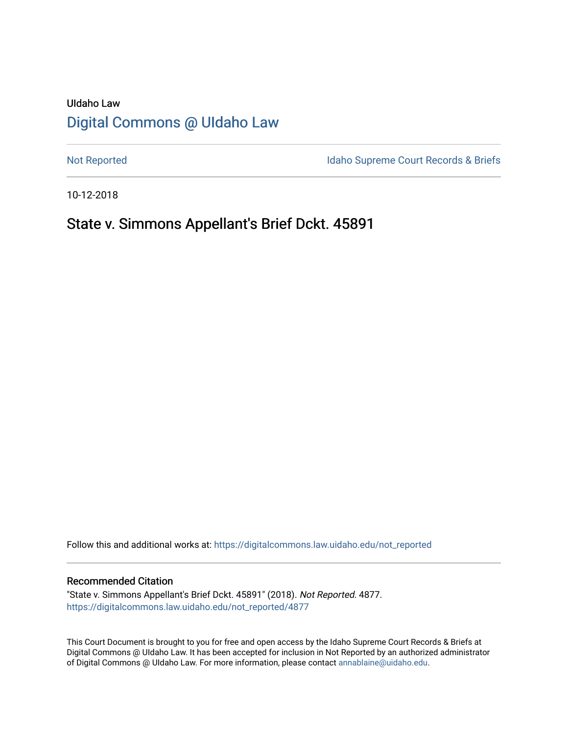# UIdaho Law [Digital Commons @ UIdaho Law](https://digitalcommons.law.uidaho.edu/)

[Not Reported](https://digitalcommons.law.uidaho.edu/not_reported) **Idaho Supreme Court Records & Briefs** 

10-12-2018

# State v. Simmons Appellant's Brief Dckt. 45891

Follow this and additional works at: [https://digitalcommons.law.uidaho.edu/not\\_reported](https://digitalcommons.law.uidaho.edu/not_reported?utm_source=digitalcommons.law.uidaho.edu%2Fnot_reported%2F4877&utm_medium=PDF&utm_campaign=PDFCoverPages) 

#### Recommended Citation

"State v. Simmons Appellant's Brief Dckt. 45891" (2018). Not Reported. 4877. [https://digitalcommons.law.uidaho.edu/not\\_reported/4877](https://digitalcommons.law.uidaho.edu/not_reported/4877?utm_source=digitalcommons.law.uidaho.edu%2Fnot_reported%2F4877&utm_medium=PDF&utm_campaign=PDFCoverPages)

This Court Document is brought to you for free and open access by the Idaho Supreme Court Records & Briefs at Digital Commons @ UIdaho Law. It has been accepted for inclusion in Not Reported by an authorized administrator of Digital Commons @ UIdaho Law. For more information, please contact [annablaine@uidaho.edu](mailto:annablaine@uidaho.edu).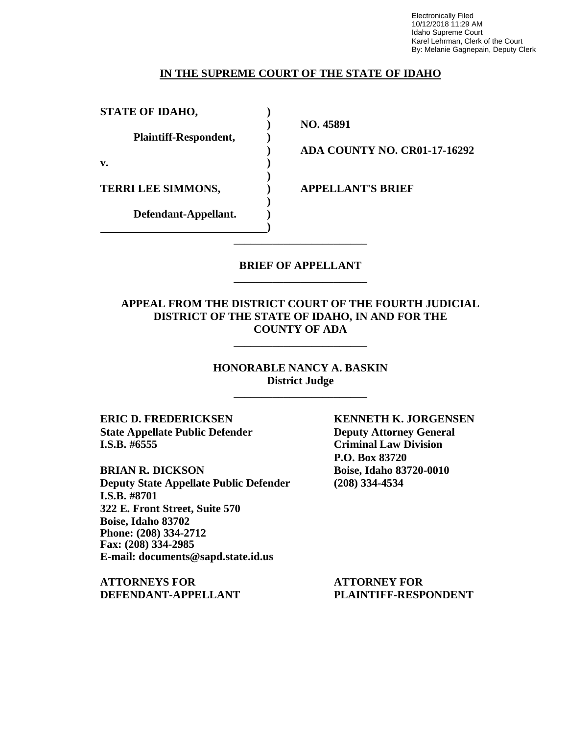Electronically Filed 10/12/2018 11:29 AM Idaho Supreme Court Karel Lehrman, Clerk of the Court By: Melanie Gagnepain, Deputy Clerk

### **IN THE SUPREME COURT OF THE STATE OF IDAHO**

**STATE OF IDAHO, )**

**Plaintiff-Respondent, )**

**v. )**

**TERRI LEE SIMMONS, ) APPELLANT'S BRIEF**

**Defendant-Appellant. )**

**) NO. 45891**

**) ADA COUNTY NO. CR01-17-16292**

### **BRIEF OF APPELLANT** \_\_\_\_\_\_\_\_\_\_\_\_\_\_\_\_\_\_\_\_\_\_\_\_

\_\_\_\_\_\_\_\_\_\_\_\_\_\_\_\_\_\_\_\_\_\_\_\_

**)**

**)**

**)**

### **APPEAL FROM THE DISTRICT COURT OF THE FOURTH JUDICIAL DISTRICT OF THE STATE OF IDAHO, IN AND FOR THE COUNTY OF ADA**

\_\_\_\_\_\_\_\_\_\_\_\_\_\_\_\_\_\_\_\_\_\_\_\_

**HONORABLE NANCY A. BASKIN District Judge**

\_\_\_\_\_\_\_\_\_\_\_\_\_\_\_\_\_\_\_\_\_\_\_\_

**ERIC D. FREDERICKSEN KENNETH K. JORGENSEN State Appellate Public Defender Deputy Attorney General I.S.B. #6555 Criminal Law Division**

**BRIAN R. DICKSON Boise, Idaho 83720-0010 Deputy State Appellate Public Defender (208) 334-4534 I.S.B. #8701 322 E. Front Street, Suite 570 Boise, Idaho 83702 Phone: (208) 334-2712 Fax: (208) 334-2985 E-mail: documents@sapd.state.id.us**

**ATTORNEYS FOR ATTORNEY FOR DEFENDANT-APPELLANT PLAINTIFF-RESPONDENT**

**P.O. Box 83720**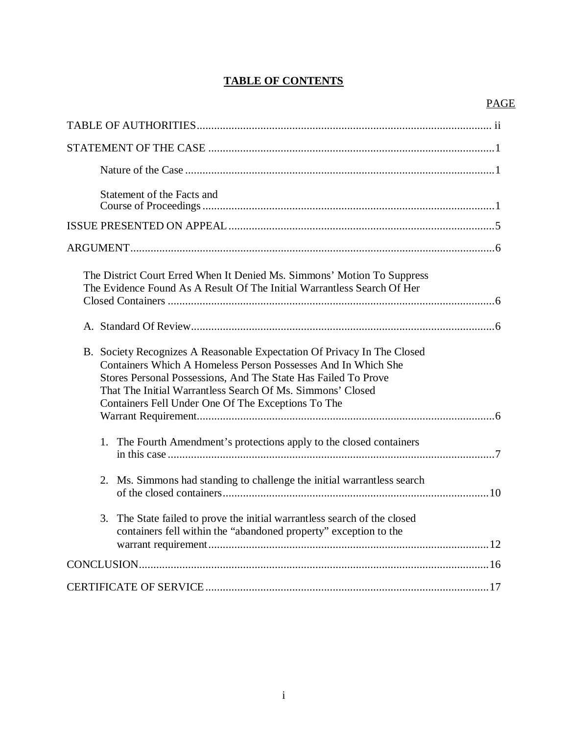# **TABLE OF CONTENTS**

## PAGE

| Statement of the Facts and                                                                                                                                                                                                                                                                                                     |
|--------------------------------------------------------------------------------------------------------------------------------------------------------------------------------------------------------------------------------------------------------------------------------------------------------------------------------|
|                                                                                                                                                                                                                                                                                                                                |
|                                                                                                                                                                                                                                                                                                                                |
| The District Court Erred When It Denied Ms. Simmons' Motion To Suppress<br>The Evidence Found As A Result Of The Initial Warrantless Search Of Her                                                                                                                                                                             |
|                                                                                                                                                                                                                                                                                                                                |
| B. Society Recognizes A Reasonable Expectation Of Privacy In The Closed<br>Containers Which A Homeless Person Possesses And In Which She<br>Stores Personal Possessions, And The State Has Failed To Prove<br>That The Initial Warrantless Search Of Ms. Simmons' Closed<br>Containers Fell Under One Of The Exceptions To The |
|                                                                                                                                                                                                                                                                                                                                |
| 1. The Fourth Amendment's protections apply to the closed containers                                                                                                                                                                                                                                                           |
| 2. Ms. Simmons had standing to challenge the initial warrantless search                                                                                                                                                                                                                                                        |
| 3.<br>The State failed to prove the initial warrantless search of the closed<br>containers fell within the "abandoned property" exception to the                                                                                                                                                                               |
|                                                                                                                                                                                                                                                                                                                                |
|                                                                                                                                                                                                                                                                                                                                |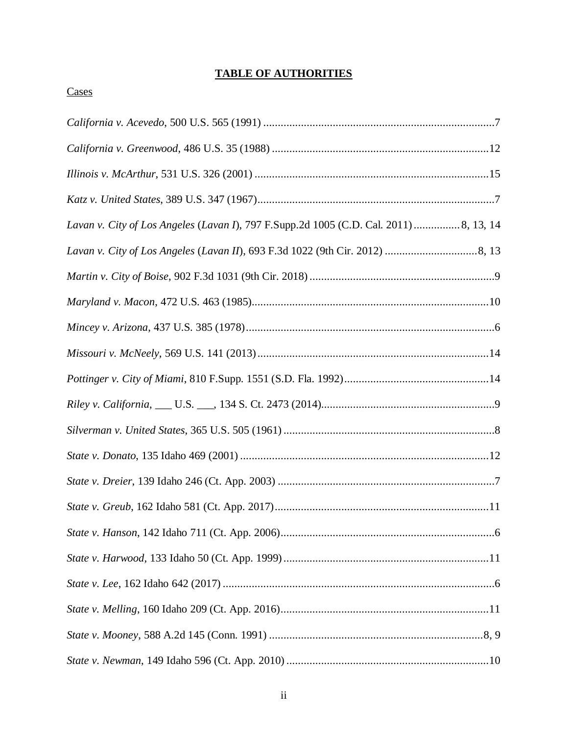# **TABLE OF AUTHORITIES**

## **Cases**

| Lavan v. City of Los Angeles (Lavan I), 797 F.Supp.2d 1005 (C.D. Cal. 2011)  8, 13, 14 |
|----------------------------------------------------------------------------------------|
|                                                                                        |
|                                                                                        |
|                                                                                        |
|                                                                                        |
|                                                                                        |
|                                                                                        |
|                                                                                        |
|                                                                                        |
|                                                                                        |
|                                                                                        |
|                                                                                        |
|                                                                                        |
|                                                                                        |
|                                                                                        |
|                                                                                        |
|                                                                                        |
|                                                                                        |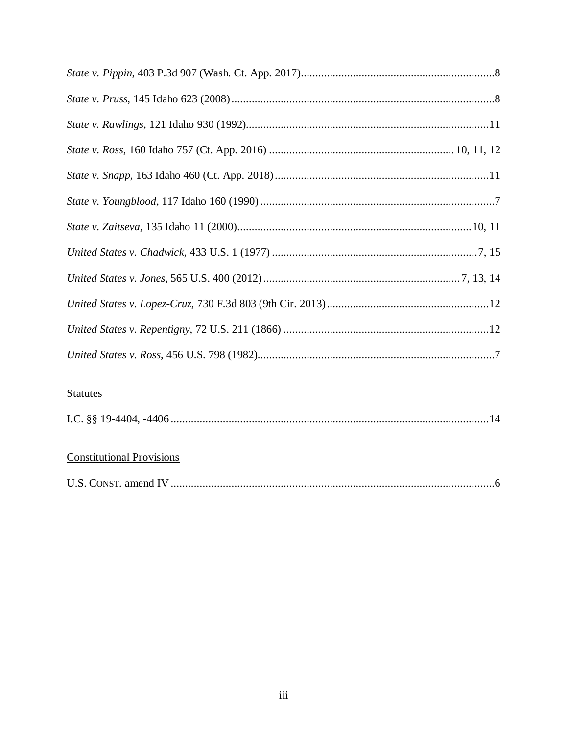| <b>Statutes</b> |
|-----------------|
|                 |

# **Constitutional Provisions**

| U.S. CONST. amend IV |  |
|----------------------|--|
|----------------------|--|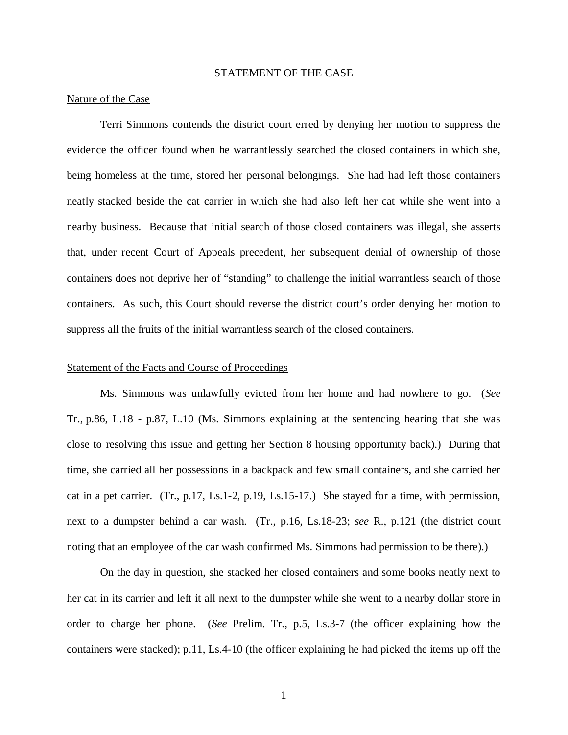#### STATEMENT OF THE CASE

#### Nature of the Case

Terri Simmons contends the district court erred by denying her motion to suppress the evidence the officer found when he warrantlessly searched the closed containers in which she, being homeless at the time, stored her personal belongings. She had had left those containers neatly stacked beside the cat carrier in which she had also left her cat while she went into a nearby business. Because that initial search of those closed containers was illegal, she asserts that, under recent Court of Appeals precedent, her subsequent denial of ownership of those containers does not deprive her of "standing" to challenge the initial warrantless search of those containers. As such, this Court should reverse the district court's order denying her motion to suppress all the fruits of the initial warrantless search of the closed containers.

#### Statement of the Facts and Course of Proceedings

Ms. Simmons was unlawfully evicted from her home and had nowhere to go. (*See* Tr., p.86, L.18 - p.87, L.10 (Ms. Simmons explaining at the sentencing hearing that she was close to resolving this issue and getting her Section 8 housing opportunity back).) During that time, she carried all her possessions in a backpack and few small containers, and she carried her cat in a pet carrier. (Tr., p.17, Ls.1-2, p.19, Ls.15-17.) She stayed for a time, with permission, next to a dumpster behind a car wash. (Tr., p.16, Ls.18-23; *see* R., p.121 (the district court noting that an employee of the car wash confirmed Ms. Simmons had permission to be there).)

On the day in question, she stacked her closed containers and some books neatly next to her cat in its carrier and left it all next to the dumpster while she went to a nearby dollar store in order to charge her phone. (*See* Prelim. Tr., p.5, Ls.3-7 (the officer explaining how the containers were stacked); p.11, Ls.4-10 (the officer explaining he had picked the items up off the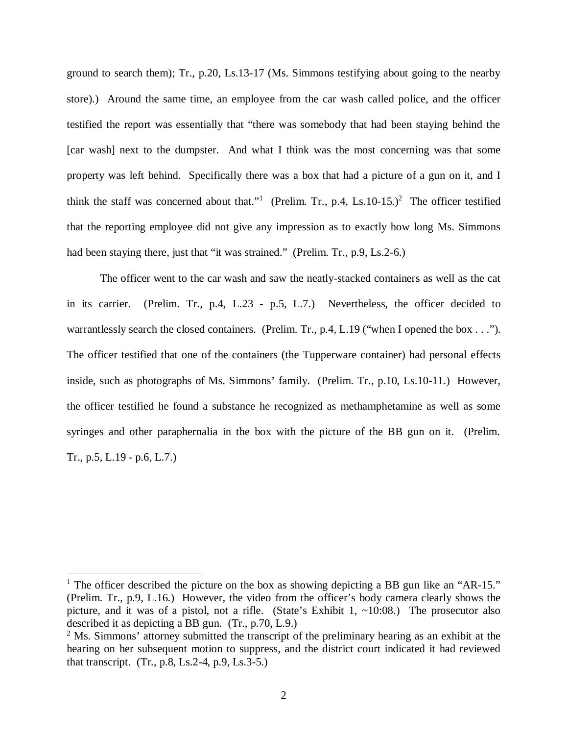ground to search them); Tr., p.20, Ls.13-17 (Ms. Simmons testifying about going to the nearby store).) Around the same time, an employee from the car wash called police, and the officer testified the report was essentially that "there was somebody that had been staying behind the [car wash] next to the dumpster. And what I think was the most concerning was that some property was left behind. Specifically there was a box that had a picture of a gun on it, and I think the staff was concerned about that."<sup>[1](#page-6-0)</sup> (Prelim. Tr., p.4, Ls.10-15.)<sup>[2](#page-6-1)</sup> The officer testified that the reporting employee did not give any impression as to exactly how long Ms. Simmons had been staying there, just that "it was strained." (Prelim. Tr., p.9, Ls.2-6.)

The officer went to the car wash and saw the neatly-stacked containers as well as the cat in its carrier. (Prelim. Tr., p.4, L.23 - p.5, L.7.) Nevertheless, the officer decided to warrantlessly search the closed containers. (Prelim. Tr., p.4, L.19 ("when I opened the box . . ."). The officer testified that one of the containers (the Tupperware container) had personal effects inside, such as photographs of Ms. Simmons' family. (Prelim. Tr., p.10, Ls.10-11.) However, the officer testified he found a substance he recognized as methamphetamine as well as some syringes and other paraphernalia in the box with the picture of the BB gun on it. (Prelim. Tr., p.5, L.19 - p.6, L.7.)

<span id="page-6-0"></span><sup>&</sup>lt;sup>1</sup> The officer described the picture on the box as showing depicting a BB gun like an "AR-15." (Prelim. Tr., p.9, L.16.) However, the video from the officer's body camera clearly shows the picture, and it was of a pistol, not a rifle. (State's Exhibit 1,  $\sim$ 10:08.) The prosecutor also described it as depicting a BB gun. (Tr., p.70, L.9.)

<span id="page-6-1"></span> $2^2$  Ms. Simmons' attorney submitted the transcript of the preliminary hearing as an exhibit at the hearing on her subsequent motion to suppress, and the district court indicated it had reviewed that transcript. (Tr., p.8, Ls.2-4, p.9, Ls.3-5.)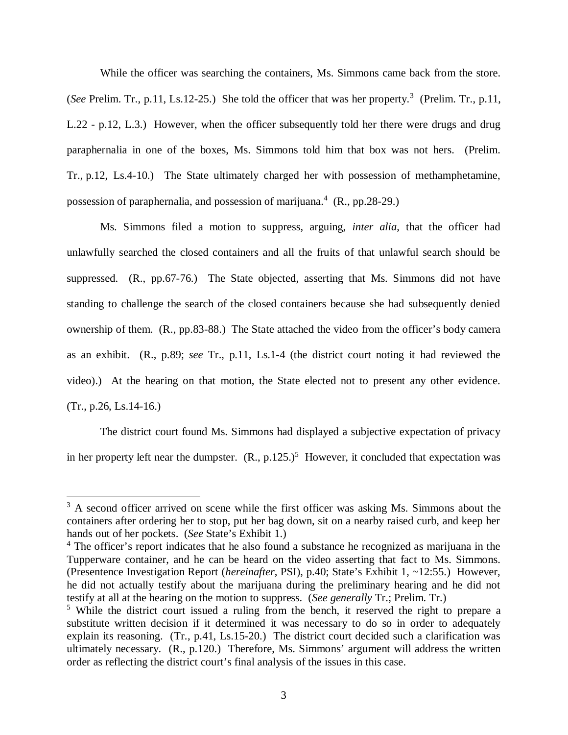While the officer was searching the containers, Ms. Simmons came back from the store. (*See* Prelim. Tr., p.11, Ls.12-25.) She told the officer that was her property.<sup>[3](#page-7-0)</sup> (Prelim. Tr., p.11, L.22 - p.12, L.3.) However, when the officer subsequently told her there were drugs and drug paraphernalia in one of the boxes, Ms. Simmons told him that box was not hers. (Prelim. Tr., p.12, Ls.4-10.) The State ultimately charged her with possession of methamphetamine, possession of paraphernalia, and possession of marijuana.<sup>[4](#page-7-1)</sup> (R., pp.28-29.)

Ms. Simmons filed a motion to suppress, arguing, *inter alia*, that the officer had unlawfully searched the closed containers and all the fruits of that unlawful search should be suppressed. (R., pp.67-76.) The State objected, asserting that Ms. Simmons did not have standing to challenge the search of the closed containers because she had subsequently denied ownership of them. (R., pp.83-88.) The State attached the video from the officer's body camera as an exhibit. (R., p.89; *see* Tr., p.11, Ls.1-4 (the district court noting it had reviewed the video).) At the hearing on that motion, the State elected not to present any other evidence. (Tr., p.26, Ls.14-16.)

The district court found Ms. Simmons had displayed a subjective expectation of privacy in her property left near the dumpster.  $(R., p.125.)^5$  $(R., p.125.)^5$  $(R., p.125.)^5$  However, it concluded that expectation was

<span id="page-7-0"></span> $3$  A second officer arrived on scene while the first officer was asking Ms. Simmons about the containers after ordering her to stop, put her bag down, sit on a nearby raised curb, and keep her hands out of her pockets. (*See* State's Exhibit 1.)

<span id="page-7-1"></span><sup>&</sup>lt;sup>4</sup> The officer's report indicates that he also found a substance he recognized as marijuana in the Tupperware container, and he can be heard on the video asserting that fact to Ms. Simmons. (Presentence Investigation Report (*hereinafter*, PSI), p.40; State's Exhibit 1, ~12:55.) However, he did not actually testify about the marijuana during the preliminary hearing and he did not testify at all at the hearing on the motion to suppress. (*See generally* Tr.; Prelim. Tr.)

<span id="page-7-2"></span><sup>&</sup>lt;sup>5</sup> While the district court issued a ruling from the bench, it reserved the right to prepare a substitute written decision if it determined it was necessary to do so in order to adequately explain its reasoning. (Tr., p.41, Ls.15-20.) The district court decided such a clarification was ultimately necessary. (R., p.120.) Therefore, Ms. Simmons' argument will address the written order as reflecting the district court's final analysis of the issues in this case.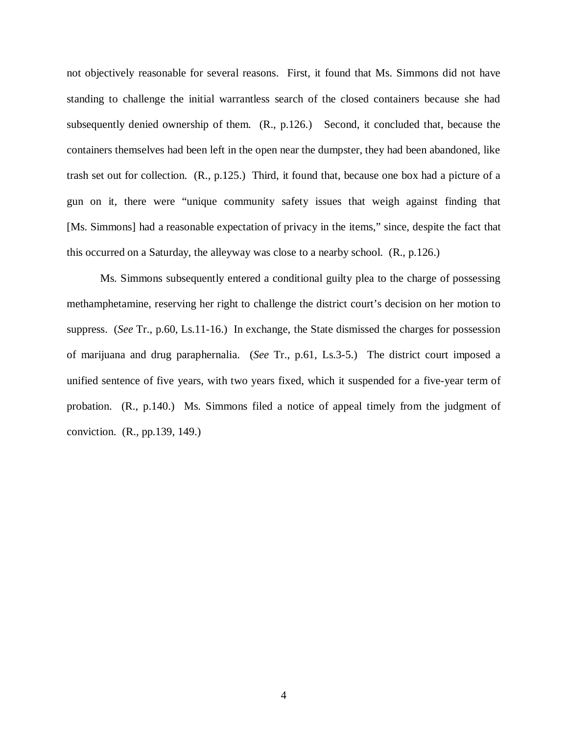not objectively reasonable for several reasons. First, it found that Ms. Simmons did not have standing to challenge the initial warrantless search of the closed containers because she had subsequently denied ownership of them. (R., p.126.) Second, it concluded that, because the containers themselves had been left in the open near the dumpster, they had been abandoned, like trash set out for collection. (R., p.125.) Third, it found that, because one box had a picture of a gun on it, there were "unique community safety issues that weigh against finding that [Ms. Simmons] had a reasonable expectation of privacy in the items," since, despite the fact that this occurred on a Saturday, the alleyway was close to a nearby school. (R., p.126.)

Ms. Simmons subsequently entered a conditional guilty plea to the charge of possessing methamphetamine, reserving her right to challenge the district court's decision on her motion to suppress. (*See* Tr., p.60, Ls.11-16.) In exchange, the State dismissed the charges for possession of marijuana and drug paraphernalia. (*See* Tr., p.61, Ls.3-5.) The district court imposed a unified sentence of five years, with two years fixed, which it suspended for a five-year term of probation. (R., p.140.) Ms. Simmons filed a notice of appeal timely from the judgment of conviction. (R., pp.139, 149.)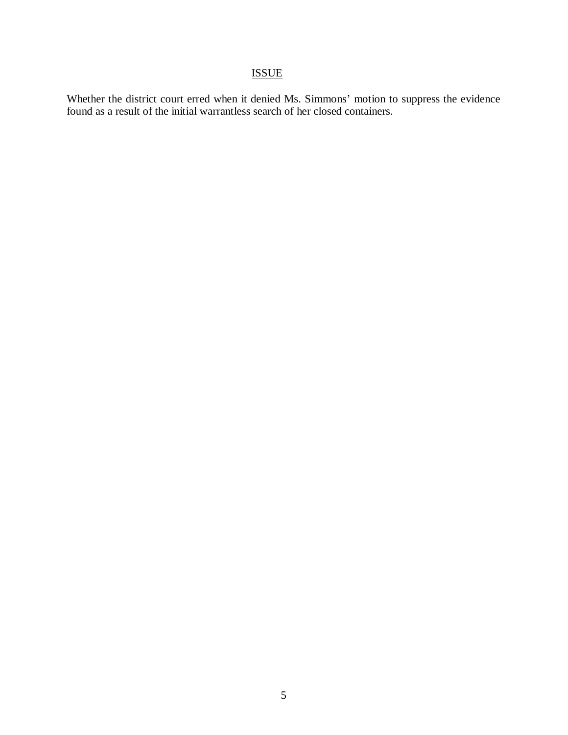# ISSUE

Whether the district court erred when it denied Ms. Simmons' motion to suppress the evidence found as a result of the initial warrantless search of her closed containers.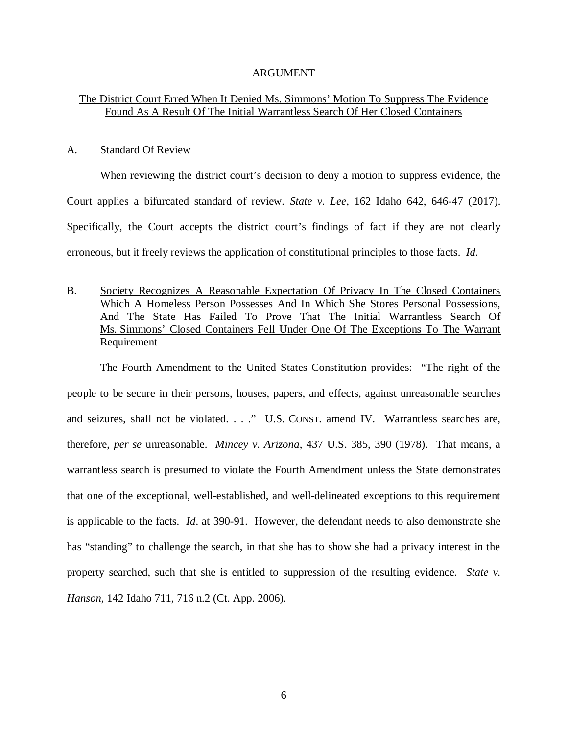#### ARGUMENT

### The District Court Erred When It Denied Ms. Simmons' Motion To Suppress The Evidence Found As A Result Of The Initial Warrantless Search Of Her Closed Containers

#### A. Standard Of Review

When reviewing the district court's decision to deny a motion to suppress evidence, the Court applies a bifurcated standard of review. *State v. Lee*, 162 Idaho 642, 646-47 (2017). Specifically, the Court accepts the district court's findings of fact if they are not clearly erroneous, but it freely reviews the application of constitutional principles to those facts. *Id*.

B. Society Recognizes A Reasonable Expectation Of Privacy In The Closed Containers Which A Homeless Person Possesses And In Which She Stores Personal Possessions, And The State Has Failed To Prove That The Initial Warrantless Search Of Ms. Simmons' Closed Containers Fell Under One Of The Exceptions To The Warrant Requirement

The Fourth Amendment to the United States Constitution provides: "The right of the people to be secure in their persons, houses, papers, and effects, against unreasonable searches and seizures, shall not be violated. . . ." U.S. CONST. amend IV. Warrantless searches are, therefore, *per se* unreasonable. *Mincey v. Arizona*, 437 U.S. 385, 390 (1978). That means, a warrantless search is presumed to violate the Fourth Amendment unless the State demonstrates that one of the exceptional, well-established, and well-delineated exceptions to this requirement is applicable to the facts. *Id*. at 390-91. However, the defendant needs to also demonstrate she has "standing" to challenge the search, in that she has to show she had a privacy interest in the property searched, such that she is entitled to suppression of the resulting evidence. *State v. Hanson*, 142 Idaho 711, 716 n.2 (Ct. App. 2006).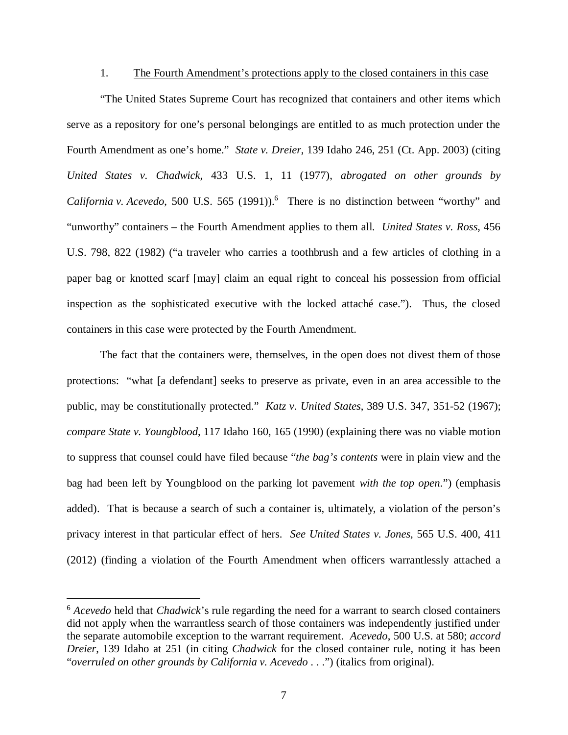#### 1. The Fourth Amendment's protections apply to the closed containers in this case

"The United States Supreme Court has recognized that containers and other items which serve as a repository for one's personal belongings are entitled to as much protection under the Fourth Amendment as one's home." *State v. Dreier*, 139 Idaho 246, 251 (Ct. App. 2003) (citing *United States v. Chadwick*, 433 U.S. 1, 11 (1977), *abrogated on other grounds by* California v. Acevedo, 500 U.S. 5[6](#page-11-0)5 (1991)).<sup>6</sup> There is no distinction between "worthy" and "unworthy" containers – the Fourth Amendment applies to them all. *United States v. Ross*, 456 U.S. 798, 822 (1982) ("a traveler who carries a toothbrush and a few articles of clothing in a paper bag or knotted scarf [may] claim an equal right to conceal his possession from official inspection as the sophisticated executive with the locked attaché case."). Thus, the closed containers in this case were protected by the Fourth Amendment.

The fact that the containers were, themselves, in the open does not divest them of those protections: "what [a defendant] seeks to preserve as private, even in an area accessible to the public, may be constitutionally protected." *Katz v. United States*, 389 U.S. 347, 351-52 (1967); *compare State v. Youngblood*, 117 Idaho 160, 165 (1990) (explaining there was no viable motion to suppress that counsel could have filed because "*the bag's contents* were in plain view and the bag had been left by Youngblood on the parking lot pavement *with the top open*.") (emphasis added). That is because a search of such a container is, ultimately, a violation of the person's privacy interest in that particular effect of hers. *See United States v. Jones*, 565 U.S. 400, 411 (2012) (finding a violation of the Fourth Amendment when officers warrantlessly attached a

<span id="page-11-0"></span><sup>6</sup> *Acevedo* held that *Chadwick*'s rule regarding the need for a warrant to search closed containers did not apply when the warrantless search of those containers was independently justified under the separate automobile exception to the warrant requirement. *Acevedo*, 500 U.S. at 580; *accord Dreier*, 139 Idaho at 251 (in citing *Chadwick* for the closed container rule, noting it has been "*overruled on other grounds by California v. Acevedo* . . .") (italics from original).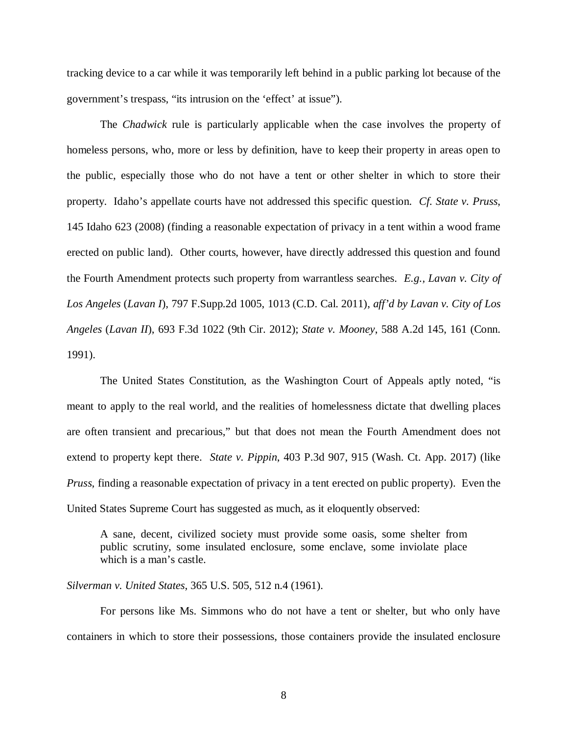tracking device to a car while it was temporarily left behind in a public parking lot because of the government's trespass, "its intrusion on the 'effect' at issue").

The *Chadwick* rule is particularly applicable when the case involves the property of homeless persons, who, more or less by definition, have to keep their property in areas open to the public, especially those who do not have a tent or other shelter in which to store their property. Idaho's appellate courts have not addressed this specific question. *Cf. State v. Pruss*, 145 Idaho 623 (2008) (finding a reasonable expectation of privacy in a tent within a wood frame erected on public land). Other courts, however, have directly addressed this question and found the Fourth Amendment protects such property from warrantless searches. *E.g., Lavan v. City of Los Angeles* (*Lavan I*), 797 F.Supp.2d 1005, 1013 (C.D. Cal. 2011), *aff'd by Lavan v. City of Los Angeles* (*Lavan II*), 693 F.3d 1022 (9th Cir. 2012); *State v. Mooney*, 588 A.2d 145, 161 (Conn. 1991).

The United States Constitution, as the Washington Court of Appeals aptly noted, "is meant to apply to the real world, and the realities of homelessness dictate that dwelling places are often transient and precarious," but that does not mean the Fourth Amendment does not extend to property kept there. *State v. Pippin*, 403 P.3d 907, 915 (Wash. Ct. App. 2017) (like *Pruss*, finding a reasonable expectation of privacy in a tent erected on public property). Even the United States Supreme Court has suggested as much, as it eloquently observed:

A sane, decent, civilized society must provide some oasis, some shelter from public scrutiny, some insulated enclosure, some enclave, some inviolate place which is a man's castle.

*Silverman v. United States*, 365 U.S. 505, 512 n.4 (1961).

For persons like Ms. Simmons who do not have a tent or shelter, but who only have containers in which to store their possessions, those containers provide the insulated enclosure

8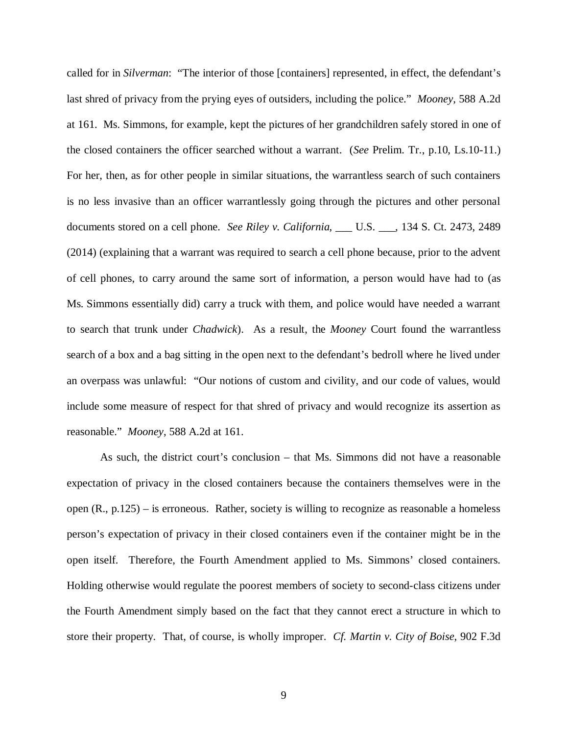called for in *Silverman*: "The interior of those [containers] represented, in effect, the defendant's last shred of privacy from the prying eyes of outsiders, including the police." *Mooney*, 588 A.2d at 161. Ms. Simmons, for example, kept the pictures of her grandchildren safely stored in one of the closed containers the officer searched without a warrant. (*See* Prelim. Tr., p.10, Ls.10-11.) For her, then, as for other people in similar situations, the warrantless search of such containers is no less invasive than an officer warrantlessly going through the pictures and other personal documents stored on a cell phone. *See Riley v. California*, \_\_\_ U.S. \_\_\_, 134 S. Ct. 2473, 2489 (2014) (explaining that a warrant was required to search a cell phone because, prior to the advent of cell phones, to carry around the same sort of information, a person would have had to (as Ms. Simmons essentially did) carry a truck with them, and police would have needed a warrant to search that trunk under *Chadwick*). As a result, the *Mooney* Court found the warrantless search of a box and a bag sitting in the open next to the defendant's bedroll where he lived under an overpass was unlawful: "Our notions of custom and civility, and our code of values, would include some measure of respect for that shred of privacy and would recognize its assertion as reasonable." *Mooney*, 588 A.2d at 161.

As such, the district court's conclusion – that Ms. Simmons did not have a reasonable expectation of privacy in the closed containers because the containers themselves were in the open (R., p.125) – is erroneous. Rather, society is willing to recognize as reasonable a homeless person's expectation of privacy in their closed containers even if the container might be in the open itself. Therefore, the Fourth Amendment applied to Ms. Simmons' closed containers. Holding otherwise would regulate the poorest members of society to second-class citizens under the Fourth Amendment simply based on the fact that they cannot erect a structure in which to store their property. That, of course, is wholly improper. *Cf. Martin v. City of Boise*, 902 F.3d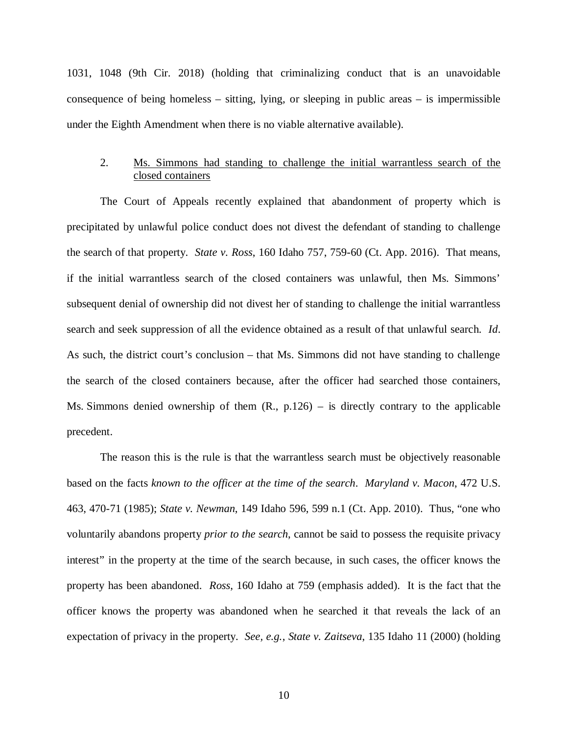1031, 1048 (9th Cir. 2018) (holding that criminalizing conduct that is an unavoidable consequence of being homeless  $-$  sitting, lying, or sleeping in public areas  $-$  is impermissible under the Eighth Amendment when there is no viable alternative available).

### 2. Ms. Simmons had standing to challenge the initial warrantless search of the closed containers

The Court of Appeals recently explained that abandonment of property which is precipitated by unlawful police conduct does not divest the defendant of standing to challenge the search of that property. *State v. Ross*, 160 Idaho 757, 759-60 (Ct. App. 2016). That means, if the initial warrantless search of the closed containers was unlawful, then Ms. Simmons' subsequent denial of ownership did not divest her of standing to challenge the initial warrantless search and seek suppression of all the evidence obtained as a result of that unlawful search. *Id*. As such, the district court's conclusion – that Ms. Simmons did not have standing to challenge the search of the closed containers because, after the officer had searched those containers, Ms. Simmons denied ownership of them (R., p.126) – is directly contrary to the applicable precedent.

The reason this is the rule is that the warrantless search must be objectively reasonable based on the facts *known to the officer at the time of the search*. *Maryland v. Macon*, 472 U.S. 463, 470-71 (1985); *State v. Newman*, 149 Idaho 596, 599 n.1 (Ct. App. 2010). Thus, "one who voluntarily abandons property *prior to the search*, cannot be said to possess the requisite privacy interest" in the property at the time of the search because, in such cases, the officer knows the property has been abandoned. *Ross*, 160 Idaho at 759 (emphasis added). It is the fact that the officer knows the property was abandoned when he searched it that reveals the lack of an expectation of privacy in the property. *See, e.g.*, *State v. Zaitseva*, 135 Idaho 11 (2000) (holding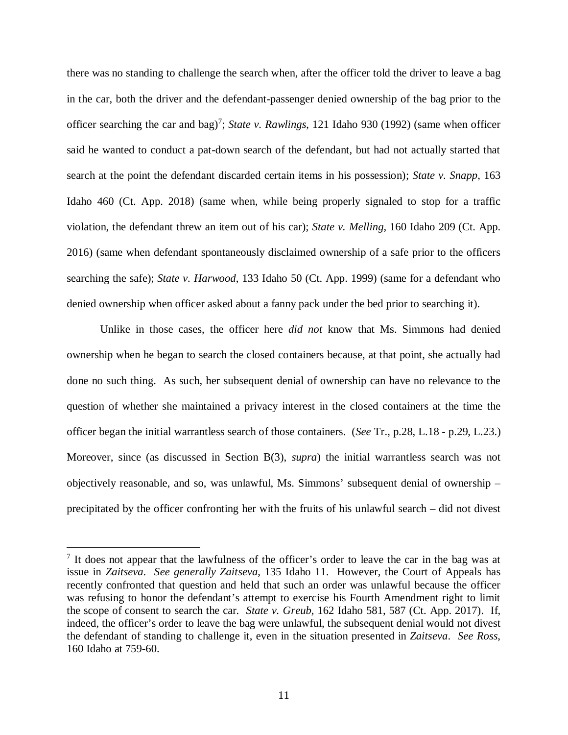there was no standing to challenge the search when, after the officer told the driver to leave a bag in the car, both the driver and the defendant-passenger denied ownership of the bag prior to the officer searching the car and bag)<sup>[7](#page-15-0)</sup>; *State v. Rawlings*, 121 Idaho 930 (1992) (same when officer said he wanted to conduct a pat-down search of the defendant, but had not actually started that search at the point the defendant discarded certain items in his possession); *State v. Snapp*, 163 Idaho 460 (Ct. App. 2018) (same when, while being properly signaled to stop for a traffic violation, the defendant threw an item out of his car); *State v. Melling*, 160 Idaho 209 (Ct. App. 2016) (same when defendant spontaneously disclaimed ownership of a safe prior to the officers searching the safe); *State v. Harwood*, 133 Idaho 50 (Ct. App. 1999) (same for a defendant who denied ownership when officer asked about a fanny pack under the bed prior to searching it).

Unlike in those cases, the officer here *did not* know that Ms. Simmons had denied ownership when he began to search the closed containers because, at that point, she actually had done no such thing. As such, her subsequent denial of ownership can have no relevance to the question of whether she maintained a privacy interest in the closed containers at the time the officer began the initial warrantless search of those containers. (*See* Tr., p.28, L.18 - p.29, L.23.) Moreover, since (as discussed in Section B(3), *supra*) the initial warrantless search was not objectively reasonable, and so, was unlawful, Ms. Simmons' subsequent denial of ownership – precipitated by the officer confronting her with the fruits of his unlawful search – did not divest

<span id="page-15-0"></span><sup>&</sup>lt;sup>7</sup> It does not appear that the lawfulness of the officer's order to leave the car in the bag was at issue in *Zaitseva*. *See generally Zaitseva*, 135 Idaho 11. However, the Court of Appeals has recently confronted that question and held that such an order was unlawful because the officer was refusing to honor the defendant's attempt to exercise his Fourth Amendment right to limit the scope of consent to search the car. *State v. Greub*, 162 Idaho 581, 587 (Ct. App. 2017). If, indeed, the officer's order to leave the bag were unlawful, the subsequent denial would not divest the defendant of standing to challenge it, even in the situation presented in *Zaitseva*. *See Ross*, 160 Idaho at 759-60.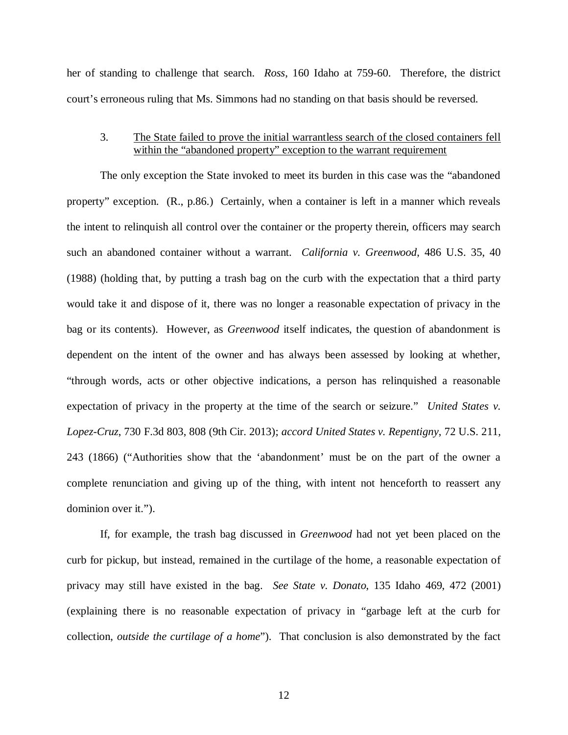her of standing to challenge that search. *Ross*, 160 Idaho at 759-60. Therefore, the district court's erroneous ruling that Ms. Simmons had no standing on that basis should be reversed.

### 3. The State failed to prove the initial warrantless search of the closed containers fell within the "abandoned property" exception to the warrant requirement

The only exception the State invoked to meet its burden in this case was the "abandoned property" exception. (R., p.86.) Certainly, when a container is left in a manner which reveals the intent to relinquish all control over the container or the property therein, officers may search such an abandoned container without a warrant. *California v. Greenwood*, 486 U.S. 35, 40 (1988) (holding that, by putting a trash bag on the curb with the expectation that a third party would take it and dispose of it, there was no longer a reasonable expectation of privacy in the bag or its contents). However, as *Greenwood* itself indicates, the question of abandonment is dependent on the intent of the owner and has always been assessed by looking at whether, "through words, acts or other objective indications, a person has relinquished a reasonable expectation of privacy in the property at the time of the search or seizure." *United States v. Lopez-Cruz*, 730 F.3d 803, 808 (9th Cir. 2013); *accord United States v. Repentigny*, 72 U.S. 211, 243 (1866) ("Authorities show that the 'abandonment' must be on the part of the owner a complete renunciation and giving up of the thing, with intent not henceforth to reassert any dominion over it.").

If, for example, the trash bag discussed in *Greenwood* had not yet been placed on the curb for pickup, but instead, remained in the curtilage of the home, a reasonable expectation of privacy may still have existed in the bag. *See State v. Donato*, 135 Idaho 469, 472 (2001) (explaining there is no reasonable expectation of privacy in "garbage left at the curb for collection, *outside the curtilage of a home*"). That conclusion is also demonstrated by the fact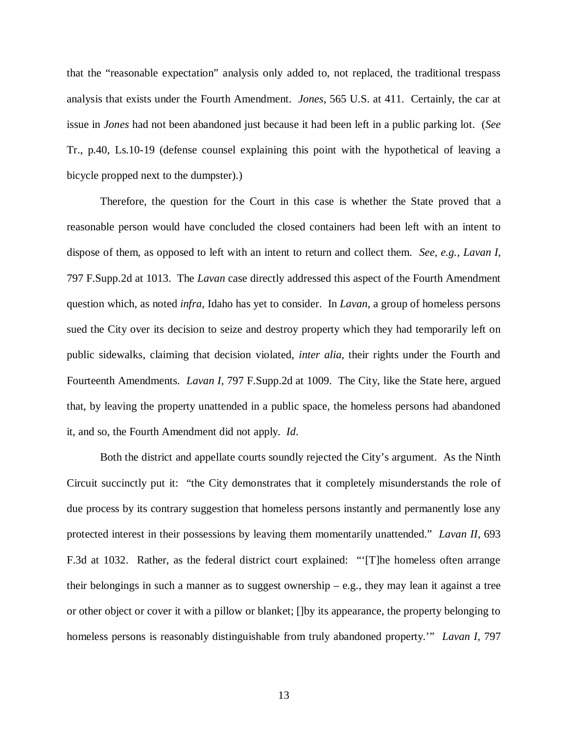that the "reasonable expectation" analysis only added to, not replaced, the traditional trespass analysis that exists under the Fourth Amendment. *Jones*, 565 U.S. at 411. Certainly, the car at issue in *Jones* had not been abandoned just because it had been left in a public parking lot. (*See* Tr., p.40, Ls.10-19 (defense counsel explaining this point with the hypothetical of leaving a bicycle propped next to the dumpster).)

Therefore, the question for the Court in this case is whether the State proved that a reasonable person would have concluded the closed containers had been left with an intent to dispose of them, as opposed to left with an intent to return and collect them. *See, e.g., Lavan I*, 797 F.Supp.2d at 1013. The *Lavan* case directly addressed this aspect of the Fourth Amendment question which, as noted *infra*, Idaho has yet to consider. In *Lavan*, a group of homeless persons sued the City over its decision to seize and destroy property which they had temporarily left on public sidewalks, claiming that decision violated, *inter alia*, their rights under the Fourth and Fourteenth Amendments. *Lavan I*, 797 F.Supp.2d at 1009. The City, like the State here, argued that, by leaving the property unattended in a public space, the homeless persons had abandoned it, and so, the Fourth Amendment did not apply. *Id*.

Both the district and appellate courts soundly rejected the City's argument. As the Ninth Circuit succinctly put it: "the City demonstrates that it completely misunderstands the role of due process by its contrary suggestion that homeless persons instantly and permanently lose any protected interest in their possessions by leaving them momentarily unattended." *Lavan II*, 693 F.3d at 1032. Rather, as the federal district court explained: "'[T]he homeless often arrange their belongings in such a manner as to suggest ownership  $-$  e.g., they may lean it against a tree or other object or cover it with a pillow or blanket; []by its appearance, the property belonging to homeless persons is reasonably distinguishable from truly abandoned property.'" *Lavan I*, 797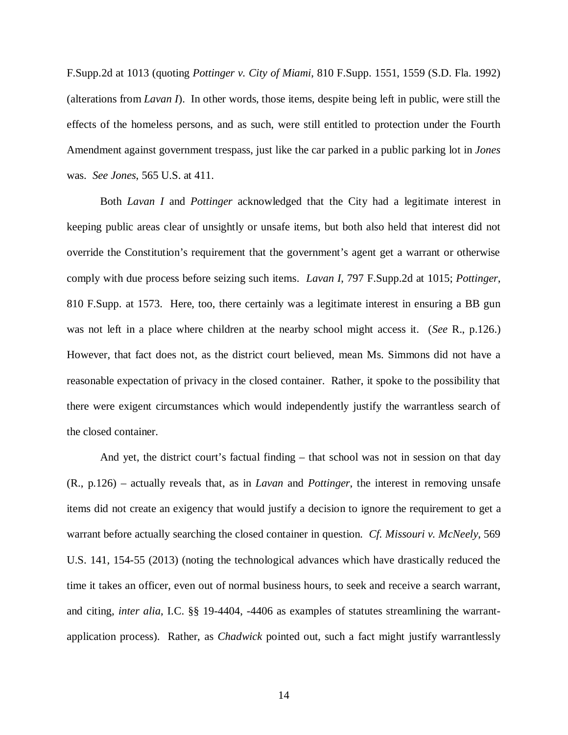F.Supp.2d at 1013 (quoting *Pottinger v. City of Miami*, 810 F.Supp. 1551, 1559 (S.D. Fla. 1992) (alterations from *Lavan I*). In other words, those items, despite being left in public, were still the effects of the homeless persons, and as such, were still entitled to protection under the Fourth Amendment against government trespass, just like the car parked in a public parking lot in *Jones* was. *See Jones*, 565 U.S. at 411.

Both *Lavan I* and *Pottinger* acknowledged that the City had a legitimate interest in keeping public areas clear of unsightly or unsafe items, but both also held that interest did not override the Constitution's requirement that the government's agent get a warrant or otherwise comply with due process before seizing such items. *Lavan I*, 797 F.Supp.2d at 1015; *Pottinger*, 810 F.Supp. at 1573. Here, too, there certainly was a legitimate interest in ensuring a BB gun was not left in a place where children at the nearby school might access it. (*See* R., p.126.) However, that fact does not, as the district court believed, mean Ms. Simmons did not have a reasonable expectation of privacy in the closed container. Rather, it spoke to the possibility that there were exigent circumstances which would independently justify the warrantless search of the closed container.

And yet, the district court's factual finding – that school was not in session on that day (R., p.126) – actually reveals that, as in *Lavan* and *Pottinger*, the interest in removing unsafe items did not create an exigency that would justify a decision to ignore the requirement to get a warrant before actually searching the closed container in question. *Cf. Missouri v. McNeely*, 569 U.S. 141, 154-55 (2013) (noting the technological advances which have drastically reduced the time it takes an officer, even out of normal business hours, to seek and receive a search warrant, and citing, *inter alia*, I.C. §§ 19-4404, -4406 as examples of statutes streamlining the warrantapplication process). Rather, as *Chadwick* pointed out, such a fact might justify warrantlessly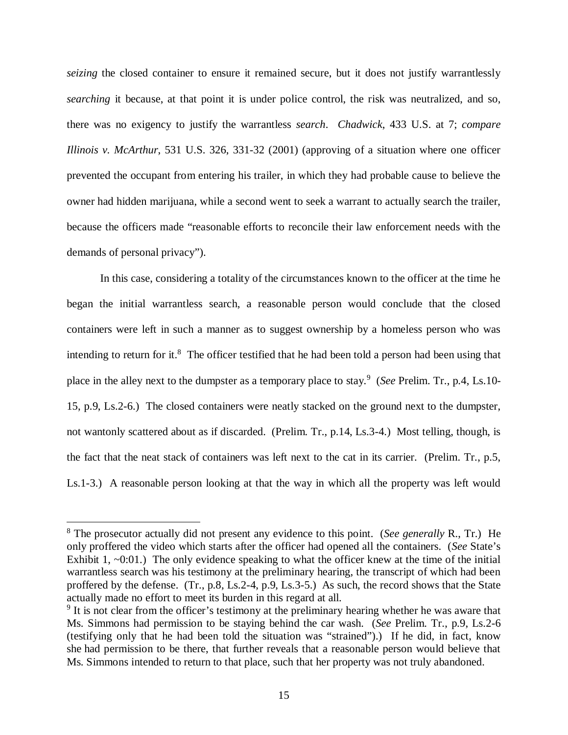*seizing* the closed container to ensure it remained secure, but it does not justify warrantlessly *searching* it because, at that point it is under police control, the risk was neutralized, and so, there was no exigency to justify the warrantless *search*. *Chadwick*, 433 U.S. at 7; *compare Illinois v. McArthur*, 531 U.S. 326, 331-32 (2001) (approving of a situation where one officer prevented the occupant from entering his trailer, in which they had probable cause to believe the owner had hidden marijuana, while a second went to seek a warrant to actually search the trailer, because the officers made "reasonable efforts to reconcile their law enforcement needs with the demands of personal privacy").

In this case, considering a totality of the circumstances known to the officer at the time he began the initial warrantless search, a reasonable person would conclude that the closed containers were left in such a manner as to suggest ownership by a homeless person who was intending to return for it.<sup>[8](#page-19-0)</sup> The officer testified that he had been told a person had been using that place in the alley next to the dumpster as a temporary place to stay.<sup>[9](#page-19-1)</sup> (*See* Prelim. Tr., p.4, Ls.10-15, p.9, Ls.2-6.) The closed containers were neatly stacked on the ground next to the dumpster, not wantonly scattered about as if discarded. (Prelim. Tr., p.14, Ls.3-4.) Most telling, though, is the fact that the neat stack of containers was left next to the cat in its carrier. (Prelim. Tr., p.5, Ls.1-3.) A reasonable person looking at that the way in which all the property was left would

<span id="page-19-0"></span><sup>8</sup> The prosecutor actually did not present any evidence to this point. (*See generally* R., Tr.) He only proffered the video which starts after the officer had opened all the containers. (*See* State's Exhibit 1,  $\sim 0.01$ .) The only evidence speaking to what the officer knew at the time of the initial warrantless search was his testimony at the preliminary hearing, the transcript of which had been proffered by the defense. (Tr., p.8, Ls.2-4, p.9, Ls.3-5.) As such, the record shows that the State actually made no effort to meet its burden in this regard at all.

<span id="page-19-1"></span><sup>&</sup>lt;sup>9</sup> It is not clear from the officer's testimony at the preliminary hearing whether he was aware that Ms. Simmons had permission to be staying behind the car wash. (*See* Prelim. Tr., p.9, Ls.2-6 (testifying only that he had been told the situation was "strained").) If he did, in fact, know she had permission to be there, that further reveals that a reasonable person would believe that Ms. Simmons intended to return to that place, such that her property was not truly abandoned.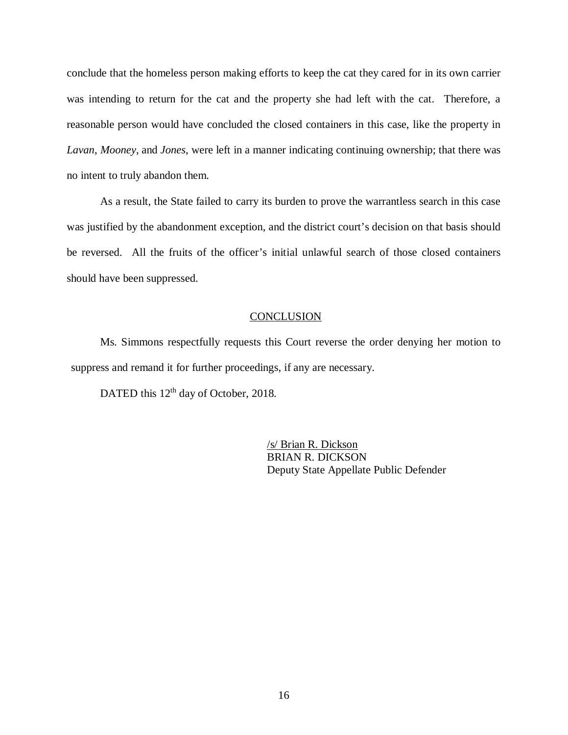conclude that the homeless person making efforts to keep the cat they cared for in its own carrier was intending to return for the cat and the property she had left with the cat. Therefore, a reasonable person would have concluded the closed containers in this case, like the property in *Lavan*, *Mooney*, and *Jones*, were left in a manner indicating continuing ownership; that there was no intent to truly abandon them.

As a result, the State failed to carry its burden to prove the warrantless search in this case was justified by the abandonment exception, and the district court's decision on that basis should be reversed. All the fruits of the officer's initial unlawful search of those closed containers should have been suppressed.

#### **CONCLUSION**

Ms. Simmons respectfully requests this Court reverse the order denying her motion to suppress and remand it for further proceedings, if any are necessary.

DATED this 12<sup>th</sup> day of October, 2018.

/s/ Brian R. Dickson BRIAN R. DICKSON Deputy State Appellate Public Defender